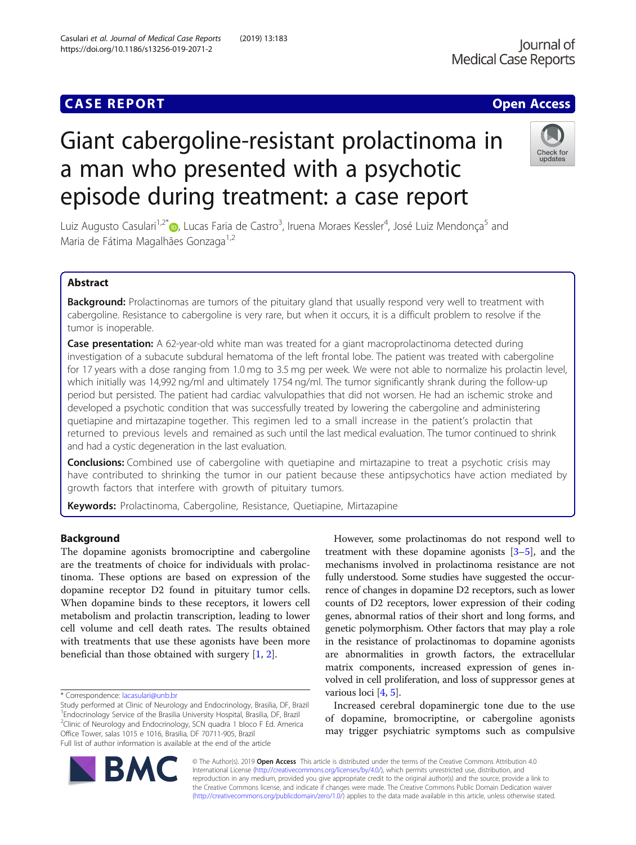https://doi.org/10.1186/s13256-019-2071-2

## **CASE REPORT CASE ACCESS**

# Giant cabergoline-resistant prolactinoma in a man who presented with a psychotic episode during treatment: a case report



Luiz Augusto Casulari<sup>1,2[\\*](http://orcid.org/0000-0002-1315-4127)</sup>®, Lucas Faria de Castro<sup>3</sup>, Iruena Moraes Kessler<sup>4</sup>, José Luiz Mendonça<sup>5</sup> and Maria de Fátima Magalhães Gonzaga<sup>1,2</sup>

## Abstract

Background: Prolactinomas are tumors of the pituitary gland that usually respond very well to treatment with cabergoline. Resistance to cabergoline is very rare, but when it occurs, it is a difficult problem to resolve if the tumor is inoperable.

Case presentation: A 62-year-old white man was treated for a giant macroprolactinoma detected during investigation of a subacute subdural hematoma of the left frontal lobe. The patient was treated with cabergoline for 17 years with a dose ranging from 1.0 mg to 3.5 mg per week. We were not able to normalize his prolactin level, which initially was 14,992 ng/ml and ultimately 1754 ng/ml. The tumor significantly shrank during the follow-up period but persisted. The patient had cardiac valvulopathies that did not worsen. He had an ischemic stroke and developed a psychotic condition that was successfully treated by lowering the cabergoline and administering quetiapine and mirtazapine together. This regimen led to a small increase in the patient's prolactin that returned to previous levels and remained as such until the last medical evaluation. The tumor continued to shrink and had a cystic degeneration in the last evaluation.

**Conclusions:** Combined use of cabergoline with quetiapine and mirtazapine to treat a psychotic crisis may have contributed to shrinking the tumor in our patient because these antipsychotics have action mediated by growth factors that interfere with growth of pituitary tumors.

Keywords: Prolactinoma, Cabergoline, Resistance, Quetiapine, Mirtazapine

### Background

The dopamine agonists bromocriptine and cabergoline are the treatments of choice for individuals with prolactinoma. These options are based on expression of the dopamine receptor D2 found in pituitary tumor cells. When dopamine binds to these receptors, it lowers cell metabolism and prolactin transcription, leading to lower cell volume and cell death rates. The results obtained with treatments that use these agonists have been more beneficial than those obtained with surgery [\[1](#page-6-0), [2](#page-6-0)].

However, some prolactinomas do not respond well to treatment with these dopamine agonists  $[3-5]$  $[3-5]$  $[3-5]$  $[3-5]$ , and the mechanisms involved in prolactinoma resistance are not fully understood. Some studies have suggested the occurrence of changes in dopamine D2 receptors, such as lower counts of D2 receptors, lower expression of their coding genes, abnormal ratios of their short and long forms, and genetic polymorphism. Other factors that may play a role in the resistance of prolactinomas to dopamine agonists are abnormalities in growth factors, the extracellular matrix components, increased expression of genes involved in cell proliferation, and loss of suppressor genes at various loci [\[4,](#page-6-0) [5](#page-6-0)].

Increased cerebral dopaminergic tone due to the use of dopamine, bromocriptine, or cabergoline agonists may trigger psychiatric symptoms such as compulsive



© The Author(s). 2019 Open Access This article is distributed under the terms of the Creative Commons Attribution 4.0 International License [\(http://creativecommons.org/licenses/by/4.0/](http://creativecommons.org/licenses/by/4.0/)), which permits unrestricted use, distribution, and reproduction in any medium, provided you give appropriate credit to the original author(s) and the source, provide a link to the Creative Commons license, and indicate if changes were made. The Creative Commons Public Domain Dedication waiver [\(http://creativecommons.org/publicdomain/zero/1.0/](http://creativecommons.org/publicdomain/zero/1.0/)) applies to the data made available in this article, unless otherwise stated.

<sup>\*</sup> Correspondence: [lacasulari@unb.br](mailto:lacasulari@unb.br)

Study performed at Clinic of Neurology and Endocrinology, Brasilia, DF, Brazil <sup>1</sup> Endocrinology Service of the Brasilia University Hospital, Brasilia, DF, Brazil <sup>2</sup>Clinic of Neurology and Endocrinology, SCN quadra 1 bloco F Ed. America Office Tower, salas 1015 e 1016, Brasilia, DF 70711-905, Brazil Full list of author information is available at the end of the article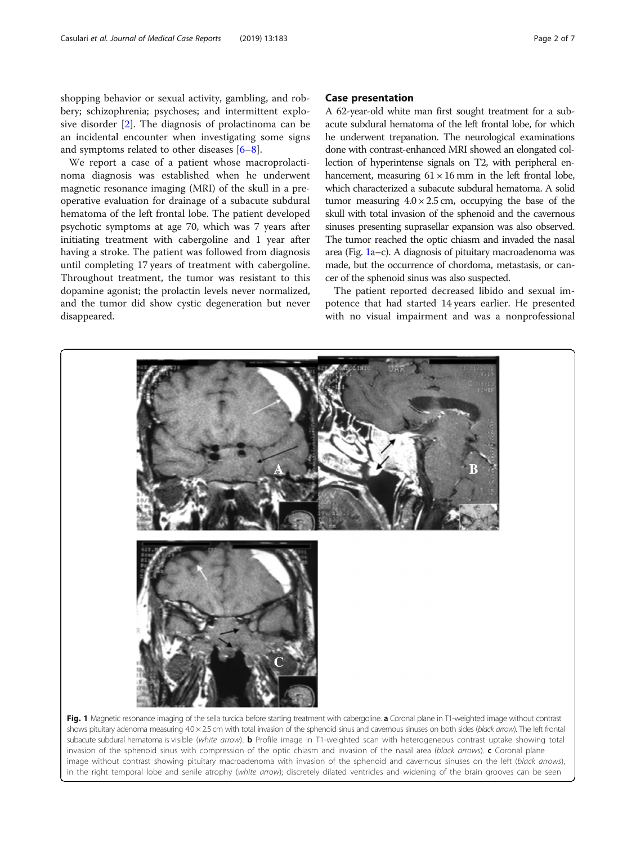<span id="page-1-0"></span>shopping behavior or sexual activity, gambling, and robbery; schizophrenia; psychoses; and intermittent explosive disorder [[2\]](#page-6-0). The diagnosis of prolactinoma can be an incidental encounter when investigating some signs and symptoms related to other diseases [[6](#page-6-0)–[8](#page-6-0)].

We report a case of a patient whose macroprolactinoma diagnosis was established when he underwent magnetic resonance imaging (MRI) of the skull in a preoperative evaluation for drainage of a subacute subdural hematoma of the left frontal lobe. The patient developed psychotic symptoms at age 70, which was 7 years after initiating treatment with cabergoline and 1 year after having a stroke. The patient was followed from diagnosis until completing 17 years of treatment with cabergoline. Throughout treatment, the tumor was resistant to this dopamine agonist; the prolactin levels never normalized, and the tumor did show cystic degeneration but never disappeared.

#### Case presentation

A 62-year-old white man first sought treatment for a subacute subdural hematoma of the left frontal lobe, for which he underwent trepanation. The neurological examinations done with contrast-enhanced MRI showed an elongated collection of hyperintense signals on T2, with peripheral enhancement, measuring  $61 \times 16$  mm in the left frontal lobe, which characterized a subacute subdural hematoma. A solid tumor measuring  $4.0 \times 2.5$  cm, occupying the base of the skull with total invasion of the sphenoid and the cavernous sinuses presenting suprasellar expansion was also observed. The tumor reached the optic chiasm and invaded the nasal area (Fig. 1a–c). A diagnosis of pituitary macroadenoma was made, but the occurrence of chordoma, metastasis, or cancer of the sphenoid sinus was also suspected.

The patient reported decreased libido and sexual impotence that had started 14 years earlier. He presented with no visual impairment and was a nonprofessional



shows pituitary adenoma measuring 4.0 × 2.5 cm with total invasion of the sphenoid sinus and cavernous sinuses on both sides (black arrow). The left frontal subacute subdural hematoma is visible (white arrow). **b** Profile image in T1-weighted scan with heterogeneous contrast uptake showing total invasion of the sphenoid sinus with compression of the optic chiasm and invasion of the nasal area (black arrows). c Coronal plane image without contrast showing pituitary macroadenoma with invasion of the sphenoid and cavernous sinuses on the left (black arrows), in the right temporal lobe and senile atrophy (white arrow); discretely dilated ventricles and widening of the brain grooves can be seen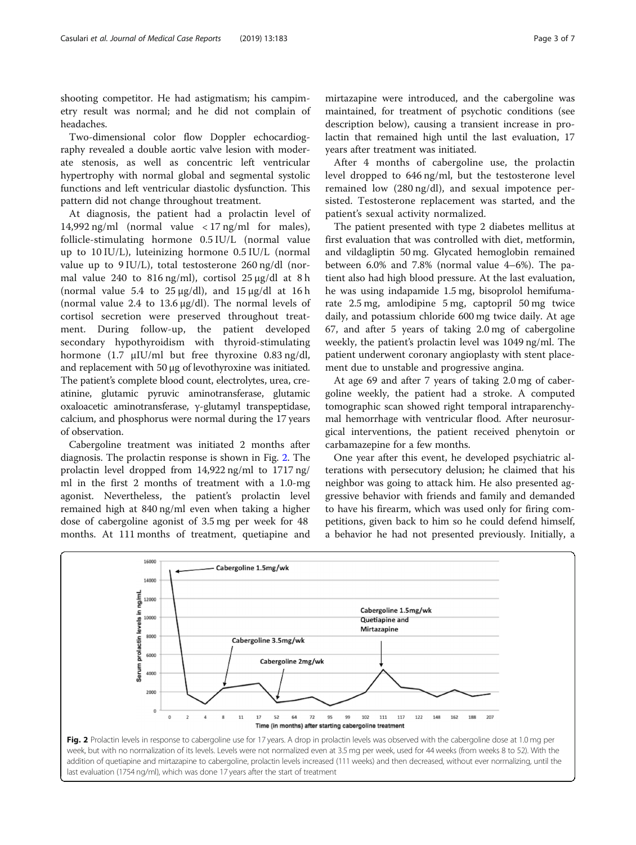shooting competitor. He had astigmatism; his campimetry result was normal; and he did not complain of headaches.

Two-dimensional color flow Doppler echocardiography revealed a double aortic valve lesion with moderate stenosis, as well as concentric left ventricular hypertrophy with normal global and segmental systolic functions and left ventricular diastolic dysfunction. This pattern did not change throughout treatment.

At diagnosis, the patient had a prolactin level of 14,992 ng/ml (normal value  $\langle 17 \rangle$  ng/ml for males), follicle-stimulating hormone 0.5 IU/L (normal value up to 10 IU/L), luteinizing hormone 0.5 IU/L (normal value up to 9 IU/L), total testosterone 260 ng/dl (normal value 240 to 816 ng/ml), cortisol 25 μg/dl at 8 h (normal value 5.4 to  $25 \mu g/dl$ ), and  $15 \mu g/dl$  at  $16 h$ (normal value 2.4 to 13.6 μg/dl). The normal levels of cortisol secretion were preserved throughout treatment. During follow-up, the patient developed secondary hypothyroidism with thyroid-stimulating hormone (1.7 μIU/ml but free thyroxine 0.83 ng/dl, and replacement with 50 μg of levothyroxine was initiated. The patient's complete blood count, electrolytes, urea, creatinine, glutamic pyruvic aminotransferase, glutamic oxaloacetic aminotransferase, γ-glutamyl transpeptidase, calcium, and phosphorus were normal during the 17 years of observation.

Cabergoline treatment was initiated 2 months after diagnosis. The prolactin response is shown in Fig. 2. The prolactin level dropped from 14,922 ng/ml to 1717 ng/ ml in the first 2 months of treatment with a 1.0-mg agonist. Nevertheless, the patient's prolactin level remained high at 840 ng/ml even when taking a higher dose of cabergoline agonist of 3.5 mg per week for 48 months. At 111 months of treatment, quetiapine and

mirtazapine were introduced, and the cabergoline was maintained, for treatment of psychotic conditions (see description below), causing a transient increase in prolactin that remained high until the last evaluation, 17 years after treatment was initiated.

After 4 months of cabergoline use, the prolactin level dropped to 646 ng/ml, but the testosterone level remained low (280 ng/dl), and sexual impotence persisted. Testosterone replacement was started, and the patient's sexual activity normalized.

The patient presented with type 2 diabetes mellitus at first evaluation that was controlled with diet, metformin, and vildagliptin 50 mg. Glycated hemoglobin remained between 6.0% and 7.8% (normal value 4–6%). The patient also had high blood pressure. At the last evaluation, he was using indapamide 1.5 mg, bisoprolol hemifumarate 2.5 mg, amlodipine 5 mg, captopril 50 mg twice daily, and potassium chloride 600 mg twice daily. At age 67, and after 5 years of taking 2.0 mg of cabergoline weekly, the patient's prolactin level was 1049 ng/ml. The patient underwent coronary angioplasty with stent placement due to unstable and progressive angina.

At age 69 and after 7 years of taking 2.0 mg of cabergoline weekly, the patient had a stroke. A computed tomographic scan showed right temporal intraparenchymal hemorrhage with ventricular flood. After neurosurgical interventions, the patient received phenytoin or carbamazepine for a few months.

One year after this event, he developed psychiatric alterations with persecutory delusion; he claimed that his neighbor was going to attack him. He also presented aggressive behavior with friends and family and demanded to have his firearm, which was used only for firing competitions, given back to him so he could defend himself, a behavior he had not presented previously. Initially, a

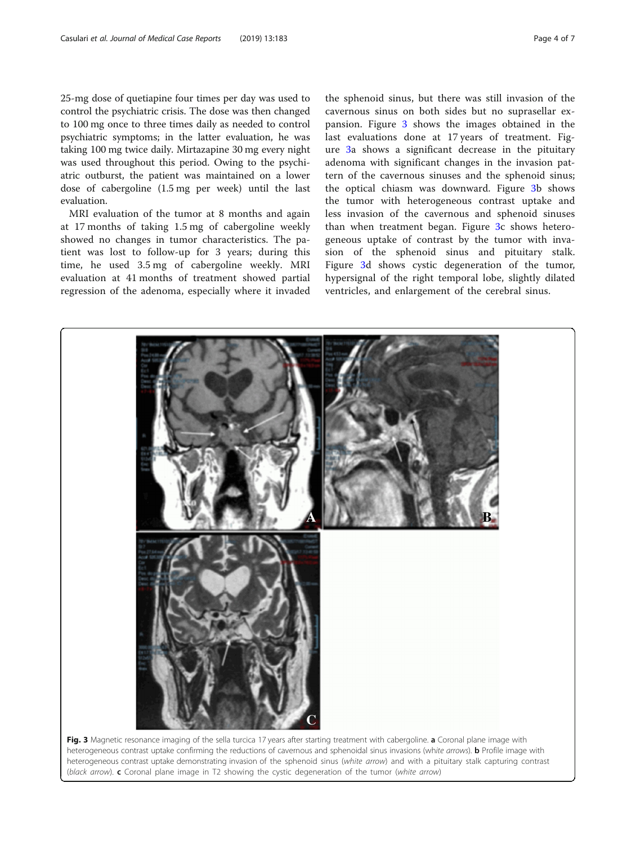<span id="page-3-0"></span>25-mg dose of quetiapine four times per day was used to control the psychiatric crisis. The dose was then changed to 100 mg once to three times daily as needed to control psychiatric symptoms; in the latter evaluation, he was taking 100 mg twice daily. Mirtazapine 30 mg every night was used throughout this period. Owing to the psychiatric outburst, the patient was maintained on a lower dose of cabergoline (1.5 mg per week) until the last evaluation.

MRI evaluation of the tumor at 8 months and again at 17 months of taking 1.5 mg of cabergoline weekly showed no changes in tumor characteristics. The patient was lost to follow-up for 3 years; during this time, he used 3.5 mg of cabergoline weekly. MRI evaluation at 41 months of treatment showed partial regression of the adenoma, especially where it invaded

the sphenoid sinus, but there was still invasion of the cavernous sinus on both sides but no suprasellar expansion. Figure 3 shows the images obtained in the last evaluations done at 17 years of treatment. Figure 3a shows a significant decrease in the pituitary adenoma with significant changes in the invasion pattern of the cavernous sinuses and the sphenoid sinus; the optical chiasm was downward. Figure 3b shows the tumor with heterogeneous contrast uptake and less invasion of the cavernous and sphenoid sinuses than when treatment began. Figure 3c shows heterogeneous uptake of contrast by the tumor with invasion of the sphenoid sinus and pituitary stalk. Figure 3d shows cystic degeneration of the tumor, hypersignal of the right temporal lobe, slightly dilated ventricles, and enlargement of the cerebral sinus.



heterogeneous contrast uptake demonstrating invasion of the sphenoid sinus (white arrow) and with a pituitary stalk capturing contrast (black arrow).  $c$  Coronal plane image in T2 showing the cystic degeneration of the tumor (white arrow)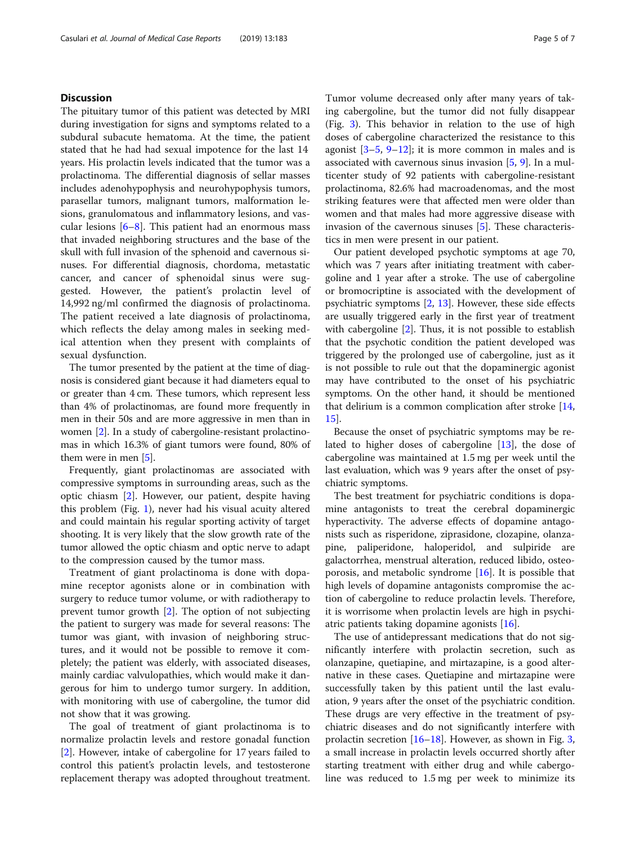#### **Discussion**

The pituitary tumor of this patient was detected by MRI during investigation for signs and symptoms related to a subdural subacute hematoma. At the time, the patient stated that he had had sexual impotence for the last 14 years. His prolactin levels indicated that the tumor was a prolactinoma. The differential diagnosis of sellar masses includes adenohypophysis and neurohypophysis tumors, parasellar tumors, malignant tumors, malformation lesions, granulomatous and inflammatory lesions, and vascular lesions  $[6-8]$  $[6-8]$  $[6-8]$ . This patient had an enormous mass that invaded neighboring structures and the base of the skull with full invasion of the sphenoid and cavernous sinuses. For differential diagnosis, chordoma, metastatic cancer, and cancer of sphenoidal sinus were suggested. However, the patient's prolactin level of 14,992 ng/ml confirmed the diagnosis of prolactinoma. The patient received a late diagnosis of prolactinoma, which reflects the delay among males in seeking medical attention when they present with complaints of sexual dysfunction.

The tumor presented by the patient at the time of diagnosis is considered giant because it had diameters equal to or greater than 4 cm. These tumors, which represent less than 4% of prolactinomas, are found more frequently in men in their 50s and are more aggressive in men than in women [\[2](#page-6-0)]. In a study of cabergoline-resistant prolactinomas in which 16.3% of giant tumors were found, 80% of them were in men [[5](#page-6-0)].

Frequently, giant prolactinomas are associated with compressive symptoms in surrounding areas, such as the optic chiasm [\[2](#page-6-0)]. However, our patient, despite having this problem (Fig. [1](#page-1-0)), never had his visual acuity altered and could maintain his regular sporting activity of target shooting. It is very likely that the slow growth rate of the tumor allowed the optic chiasm and optic nerve to adapt to the compression caused by the tumor mass.

Treatment of giant prolactinoma is done with dopamine receptor agonists alone or in combination with surgery to reduce tumor volume, or with radiotherapy to prevent tumor growth [\[2\]](#page-6-0). The option of not subjecting the patient to surgery was made for several reasons: The tumor was giant, with invasion of neighboring structures, and it would not be possible to remove it completely; the patient was elderly, with associated diseases, mainly cardiac valvulopathies, which would make it dangerous for him to undergo tumor surgery. In addition, with monitoring with use of cabergoline, the tumor did not show that it was growing.

The goal of treatment of giant prolactinoma is to normalize prolactin levels and restore gonadal function [[2\]](#page-6-0). However, intake of cabergoline for 17 years failed to control this patient's prolactin levels, and testosterone replacement therapy was adopted throughout treatment. Tumor volume decreased only after many years of taking cabergoline, but the tumor did not fully disappear (Fig. [3\)](#page-3-0). This behavior in relation to the use of high doses of cabergoline characterized the resistance to this agonist  $[3-5, 9-12]$  $[3-5, 9-12]$  $[3-5, 9-12]$  $[3-5, 9-12]$  $[3-5, 9-12]$  $[3-5, 9-12]$  $[3-5, 9-12]$  $[3-5, 9-12]$ ; it is more common in males and is associated with cavernous sinus invasion [\[5](#page-6-0), [9\]](#page-6-0). In a multicenter study of 92 patients with cabergoline-resistant prolactinoma, 82.6% had macroadenomas, and the most striking features were that affected men were older than women and that males had more aggressive disease with invasion of the cavernous sinuses [\[5](#page-6-0)]. These characteristics in men were present in our patient.

Our patient developed psychotic symptoms at age 70, which was 7 years after initiating treatment with cabergoline and 1 year after a stroke. The use of cabergoline or bromocriptine is associated with the development of psychiatric symptoms [[2,](#page-6-0) [13\]](#page-6-0). However, these side effects are usually triggered early in the first year of treatment with cabergoline [\[2](#page-6-0)]. Thus, it is not possible to establish that the psychotic condition the patient developed was triggered by the prolonged use of cabergoline, just as it is not possible to rule out that the dopaminergic agonist may have contributed to the onset of his psychiatric symptoms. On the other hand, it should be mentioned that delirium is a common complication after stroke [[14](#page-6-0), [15\]](#page-6-0).

Because the onset of psychiatric symptoms may be related to higher doses of cabergoline [\[13\]](#page-6-0), the dose of cabergoline was maintained at 1.5 mg per week until the last evaluation, which was 9 years after the onset of psychiatric symptoms.

The best treatment for psychiatric conditions is dopamine antagonists to treat the cerebral dopaminergic hyperactivity. The adverse effects of dopamine antagonists such as risperidone, ziprasidone, clozapine, olanzapine, paliperidone, haloperidol, and sulpiride are galactorrhea, menstrual alteration, reduced libido, osteoporosis, and metabolic syndrome [\[16](#page-6-0)]. It is possible that high levels of dopamine antagonists compromise the action of cabergoline to reduce prolactin levels. Therefore, it is worrisome when prolactin levels are high in psychiatric patients taking dopamine agonists [[16](#page-6-0)].

The use of antidepressant medications that do not significantly interfere with prolactin secretion, such as olanzapine, quetiapine, and mirtazapine, is a good alternative in these cases. Quetiapine and mirtazapine were successfully taken by this patient until the last evaluation, 9 years after the onset of the psychiatric condition. These drugs are very effective in the treatment of psychiatric diseases and do not significantly interfere with prolactin secretion  $[16–18]$  $[16–18]$  $[16–18]$ . However, as shown in Fig. [3](#page-3-0), a small increase in prolactin levels occurred shortly after starting treatment with either drug and while cabergoline was reduced to 1.5 mg per week to minimize its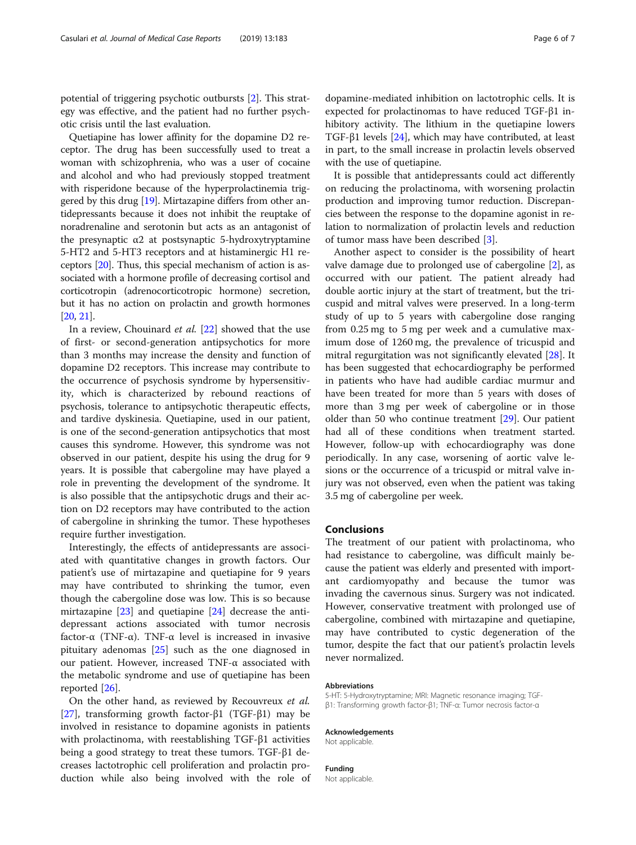potential of triggering psychotic outbursts [[2\]](#page-6-0). This strategy was effective, and the patient had no further psychotic crisis until the last evaluation.

Quetiapine has lower affinity for the dopamine D2 receptor. The drug has been successfully used to treat a woman with schizophrenia, who was a user of cocaine and alcohol and who had previously stopped treatment with risperidone because of the hyperprolactinemia triggered by this drug [\[19\]](#page-6-0). Mirtazapine differs from other antidepressants because it does not inhibit the reuptake of noradrenaline and serotonin but acts as an antagonist of the presynaptic  $α2$  at postsynaptic 5-hydroxytryptamine 5-HT2 and 5-HT3 receptors and at histaminergic H1 receptors [[20](#page-6-0)]. Thus, this special mechanism of action is associated with a hormone profile of decreasing cortisol and corticotropin (adrenocorticotropic hormone) secretion, but it has no action on prolactin and growth hormones [[20](#page-6-0), [21\]](#page-6-0).

In a review, Chouinard et al. [[22\]](#page-6-0) showed that the use of first- or second-generation antipsychotics for more than 3 months may increase the density and function of dopamine D2 receptors. This increase may contribute to the occurrence of psychosis syndrome by hypersensitivity, which is characterized by rebound reactions of psychosis, tolerance to antipsychotic therapeutic effects, and tardive dyskinesia. Quetiapine, used in our patient, is one of the second-generation antipsychotics that most causes this syndrome. However, this syndrome was not observed in our patient, despite his using the drug for 9 years. It is possible that cabergoline may have played a role in preventing the development of the syndrome. It is also possible that the antipsychotic drugs and their action on D2 receptors may have contributed to the action of cabergoline in shrinking the tumor. These hypotheses require further investigation.

Interestingly, the effects of antidepressants are associated with quantitative changes in growth factors. Our patient's use of mirtazapine and quetiapine for 9 years may have contributed to shrinking the tumor, even though the cabergoline dose was low. This is so because mirtazapine  $[23]$  $[23]$  and quetiapine  $[24]$  $[24]$  decrease the antidepressant actions associated with tumor necrosis factor-α (TNF-α). TNF-α level is increased in invasive pituitary adenomas [[25\]](#page-6-0) such as the one diagnosed in our patient. However, increased TNF-α associated with the metabolic syndrome and use of quetiapine has been reported [[26](#page-6-0)].

On the other hand, as reviewed by Recouvreux et al. [[27\]](#page-6-0), transforming growth factor-β1 (TGF-β1) may be involved in resistance to dopamine agonists in patients with prolactinoma, with reestablishing TGF-β1 activities being a good strategy to treat these tumors. TGF-β1 decreases lactotrophic cell proliferation and prolactin production while also being involved with the role of

dopamine-mediated inhibition on lactotrophic cells. It is expected for prolactinomas to have reduced TGF-β1 inhibitory activity. The lithium in the quetiapine lowers TGF-β1 levels [[24\]](#page-6-0), which may have contributed, at least in part, to the small increase in prolactin levels observed with the use of quetiapine.

It is possible that antidepressants could act differently on reducing the prolactinoma, with worsening prolactin production and improving tumor reduction. Discrepancies between the response to the dopamine agonist in relation to normalization of prolactin levels and reduction of tumor mass have been described [[3\]](#page-6-0).

Another aspect to consider is the possibility of heart valve damage due to prolonged use of cabergoline [[2\]](#page-6-0), as occurred with our patient. The patient already had double aortic injury at the start of treatment, but the tricuspid and mitral valves were preserved. In a long-term study of up to 5 years with cabergoline dose ranging from 0.25 mg to 5 mg per week and a cumulative maximum dose of 1260 mg, the prevalence of tricuspid and mitral regurgitation was not significantly elevated [\[28\]](#page-6-0). It has been suggested that echocardiography be performed in patients who have had audible cardiac murmur and have been treated for more than 5 years with doses of more than 3 mg per week of cabergoline or in those older than 50 who continue treatment [\[29](#page-6-0)]. Our patient had all of these conditions when treatment started. However, follow-up with echocardiography was done periodically. In any case, worsening of aortic valve lesions or the occurrence of a tricuspid or mitral valve injury was not observed, even when the patient was taking 3.5 mg of cabergoline per week.

#### Conclusions

The treatment of our patient with prolactinoma, who had resistance to cabergoline, was difficult mainly because the patient was elderly and presented with important cardiomyopathy and because the tumor was invading the cavernous sinus. Surgery was not indicated. However, conservative treatment with prolonged use of cabergoline, combined with mirtazapine and quetiapine, may have contributed to cystic degeneration of the tumor, despite the fact that our patient's prolactin levels never normalized.

#### Abbreviations

5-HT: 5-Hydroxytryptamine; MRI: Magnetic resonance imaging; TGFβ1: Transforming growth factor-β1; TNF-α: Tumor necrosis factor-α

Acknowledgements

Not applicable.

Funding Not applicable.